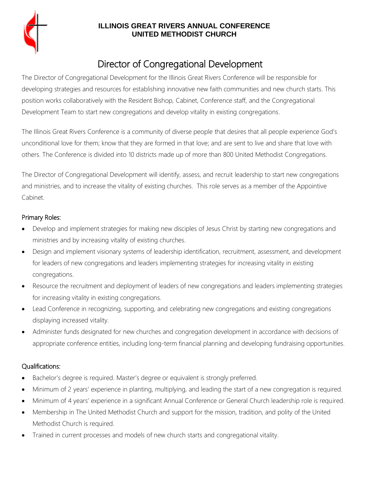

## **ILLINOIS GREAT RIVERS ANNUAL CONFERENCE UNITED METHODIST CHURCH**

# Director of Congregational Development

The Director of Congregational Development for the Illinois Great Rivers Conference will be responsible for developing strategies and resources for establishing innovative new faith communities and new church starts. This position works collaboratively with the Resident Bishop, Cabinet, Conference staff, and the Congregational Development Team to start new congregations and develop vitality in existing congregations.

The Illinois Great Rivers Conference is a community of diverse people that desires that all people experience God's unconditional love for them; know that they are formed in that love; and are sent to live and share that love with others. The Conference is divided into 10 districts made up of more than 800 United Methodist Congregations.

The Director of Congregational Development will identify, assess, and recruit leadership to start new congregations and ministries, and to increase the vitality of existing churches. This role serves as a member of the Appointive Cabinet.

## Primary Roles:

- Develop and implement strategies for making new disciples of Jesus Christ by starting new congregations and ministries and by increasing vitality of existing churches.
- Design and implement visionary systems of leadership identification, recruitment, assessment, and development for leaders of new congregations and leaders implementing strategies for increasing vitality in existing congregations.
- Resource the recruitment and deployment of leaders of new congregations and leaders implementing strategies for increasing vitality in existing congregations.
- Lead Conference in recognizing, supporting, and celebrating new congregations and existing congregations displaying increased vitality.
- Administer funds designated for new churches and congregation development in accordance with decisions of appropriate conference entities, including long-term financial planning and developing fundraising opportunities.

## Qualifications:

- Bachelor's degree is required. Master's degree or equivalent is strongly preferred.
- Minimum of 2 years' experience in planting, multiplying, and leading the start of a new congregation is required.
- Minimum of 4 years' experience in a significant Annual Conference or General Church leadership role is required.
- Membership in The United Methodist Church and support for the mission, tradition, and polity of the United Methodist Church is required.
- Trained in current processes and models of new church starts and congregational vitality.